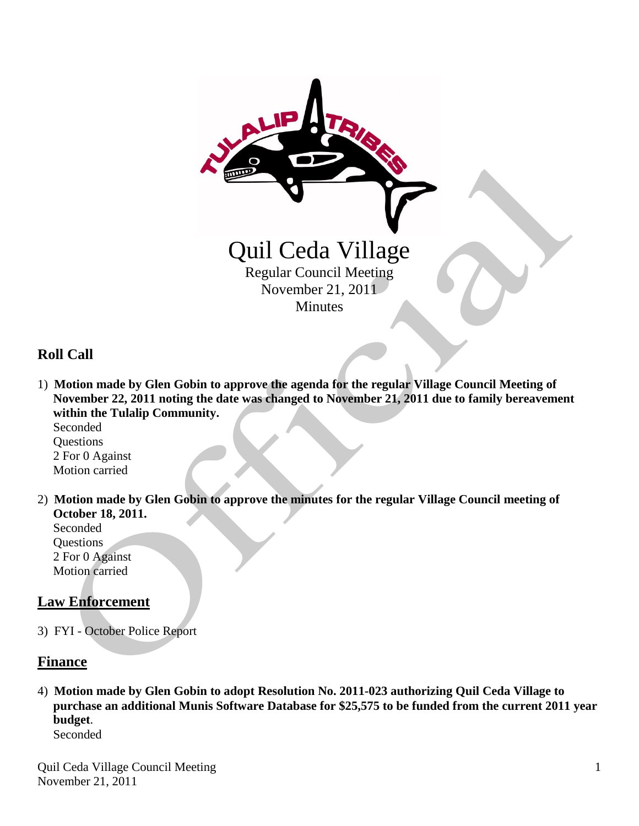

# **Roll Call**

1) **Motion made by Glen Gobin to approve the agenda for the regular Village Council Meeting of November 22, 2011 noting the date was changed to November 21, 2011 due to family bereavement within the Tulalip Community.**

 Seconded **Questions**  2 For 0 Against Motion carried

2) **Motion made by Glen Gobin to approve the minutes for the regular Village Council meeting of October 18, 2011.** Seconded

**Questions**  2 For 0 Against Motion carried

# **Law Enforcement**

3) FYI - October Police Report

# **Finance**

4) **Motion made by Glen Gobin to adopt Resolution No. 2011-023 authorizing Quil Ceda Village to purchase an additional Munis Software Database for \$25,575 to be funded from the current 2011 year budget**. Seconded

Quil Ceda Village Council Meeting November 21, 2011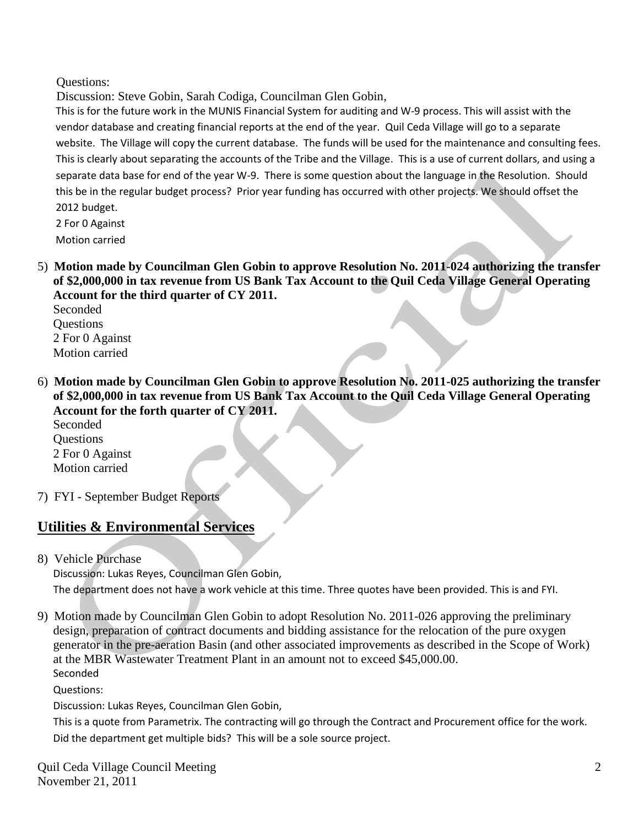Questions:

Discussion: Steve Gobin, Sarah Codiga, Councilman Glen Gobin,

 This is for the future work in the MUNIS Financial System for auditing and W-9 process. This will assist with the vendor database and creating financial reports at the end of the year. Quil Ceda Village will go to a separate website. The Village will copy the current database. The funds will be used for the maintenance and consulting fees. This is clearly about separating the accounts of the Tribe and the Village. This is a use of current dollars, and using a separate data base for end of the year W-9. There is some question about the language in the Resolution. Should this be in the regular budget process? Prior year funding has occurred with other projects. We should offset the 2012 budget.

 2 For 0 Against Motion carried

5) **Motion made by Councilman Glen Gobin to approve Resolution No. 2011-024 authorizing the transfer of \$2,000,000 in tax revenue from US Bank Tax Account to the Quil Ceda Village General Operating Account for the third quarter of CY 2011.**

Seconded **Ouestions**  2 For 0 Against Motion carried

6) **Motion made by Councilman Glen Gobin to approve Resolution No. 2011-025 authorizing the transfer of \$2,000,000 in tax revenue from US Bank Tax Account to the Quil Ceda Village General Operating Account for the forth quarter of CY 2011.**

Seconded Questions 2 For 0 Against Motion carried

7) FYI - September Budget Reports

# **Utilities & Environmental Services**

8) Vehicle Purchase

 Discussion: Lukas Reyes, Councilman Glen Gobin, The department does not have a work vehicle at this time. Three quotes have been provided. This is and FYI.

9) Motion made by Councilman Glen Gobin to adopt Resolution No. 2011-026 approving the preliminary design, preparation of contract documents and bidding assistance for the relocation of the pure oxygen generator in the pre-aeration Basin (and other associated improvements as described in the Scope of Work) at the MBR Wastewater Treatment Plant in an amount not to exceed \$45,000.00. **Seconded** 

Questions:

Discussion: Lukas Reyes, Councilman Glen Gobin,

 This is a quote from Parametrix. The contracting will go through the Contract and Procurement office for the work. Did the department get multiple bids? This will be a sole source project.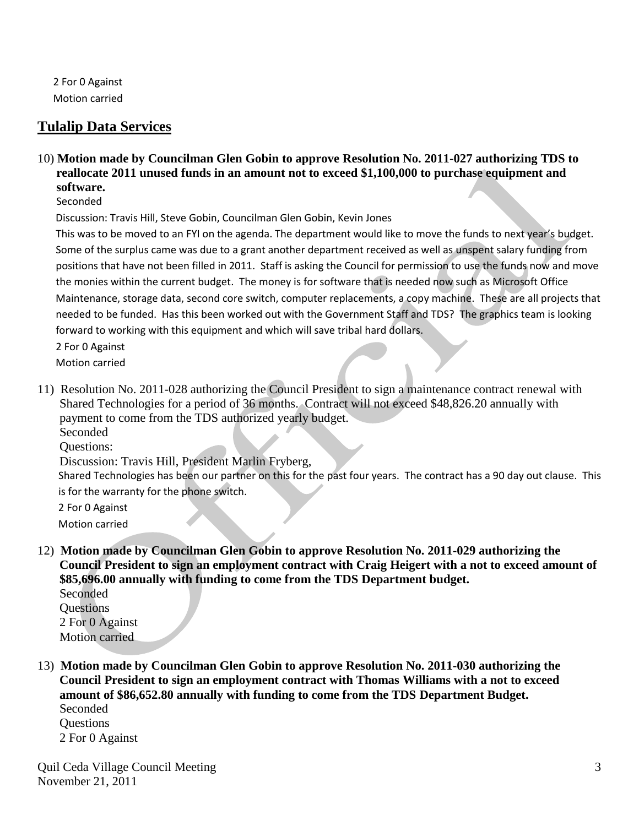2 For 0 Against Motion carried

# **Tulalip Data Services**

10) **Motion made by Councilman Glen Gobin to approve Resolution No. 2011-027 authorizing TDS to reallocate 2011 unused funds in an amount not to exceed \$1,100,000 to purchase equipment and software.**

Seconded

Discussion: Travis Hill, Steve Gobin, Councilman Glen Gobin, Kevin Jones

 This was to be moved to an FYI on the agenda. The department would like to move the funds to next year's budget. Some of the surplus came was due to a grant another department received as well as unspent salary funding from positions that have not been filled in 2011. Staff is asking the Council for permission to use the funds now and move the monies within the current budget. The money is for software that is needed now such as Microsoft Office Maintenance, storage data, second core switch, computer replacements, a copy machine. These are all projects that needed to be funded. Has this been worked out with the Government Staff and TDS? The graphics team is looking forward to working with this equipment and which will save tribal hard dollars.

 2 For 0 Against Motion carried

11) Resolution No. 2011-028 authorizing the Council President to sign a maintenance contract renewal with Shared Technologies for a period of 36 months. Contract will not exceed \$48,826.20 annually with payment to come from the TDS authorized yearly budget.

Seconded

Questions:

Discussion: Travis Hill, President Marlin Fryberg,

 Shared Technologies has been our partner on this for the past four years. The contract has a 90 day out clause. This is for the warranty for the phone switch.

 2 For 0 Against Motion carried

12) **Motion made by Councilman Glen Gobin to approve Resolution No. 2011-029 authorizing the Council President to sign an employment contract with Craig Heigert with a not to exceed amount of \$85,696.00 annually with funding to come from the TDS Department budget.**

 Seconded Questions 2 For 0 Against Motion carried

13) **Motion made by Councilman Glen Gobin to approve Resolution No. 2011-030 authorizing the Council President to sign an employment contract with Thomas Williams with a not to exceed amount of \$86,652.80 annually with funding to come from the TDS Department Budget.** Seconded **Questions** 

2 For 0 Against

Quil Ceda Village Council Meeting November 21, 2011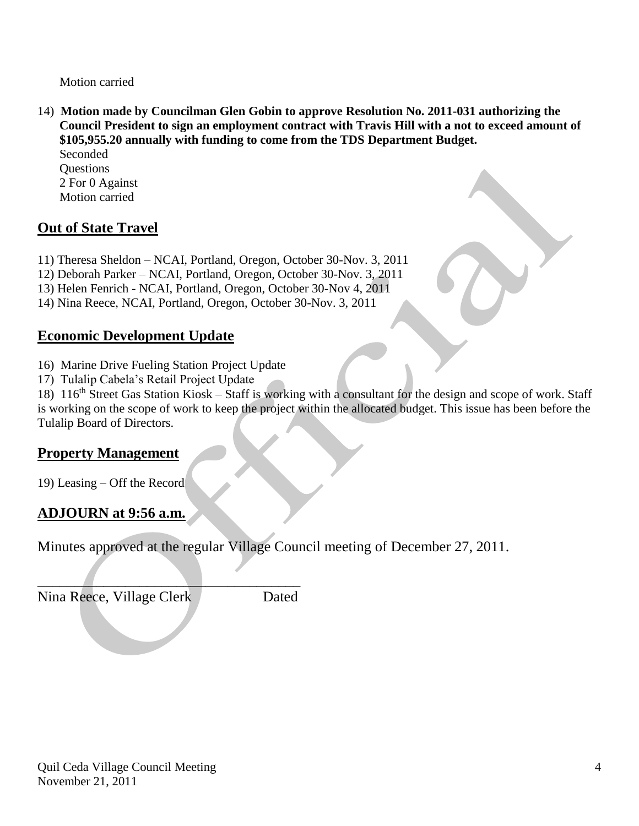Motion carried

14) **Motion made by Councilman Glen Gobin to approve Resolution No. 2011-031 authorizing the Council President to sign an employment contract with Travis Hill with a not to exceed amount of \$105,955.20 annually with funding to come from the TDS Department Budget.** Seconded

**Ouestions**  2 For 0 Against Motion carried

# **Out of State Travel**

11) Theresa Sheldon – NCAI, Portland, Oregon, October 30-Nov. 3, 2011

12) Deborah Parker – NCAI, Portland, Oregon, October 30-Nov. 3, 2011

13) Helen Fenrich - NCAI, Portland, Oregon, October 30-Nov 4, 2011

14) Nina Reece, NCAI, Portland, Oregon, October 30-Nov. 3, 2011

# **Economic Development Update**

16) Marine Drive Fueling Station Project Update

 $\overline{\phantom{a}}$  , and the set of the set of the set of the set of the set of the set of the set of the set of the set of the set of the set of the set of the set of the set of the set of the set of the set of the set of the s

17) Tulalip Cabela's Retail Project Update

18) 116<sup>th</sup> Street Gas Station Kiosk – Staff is working with a consultant for the design and scope of work. Staff is working on the scope of work to keep the project within the allocated budget. This issue has been before the Tulalip Board of Directors.

# **Property Management**

19) Leasing – Off the Record

# **ADJOURN at 9:56 a.m.**

Minutes approved at the regular Village Council meeting of December 27, 2011.

Nina Reece, Village Clerk Dated